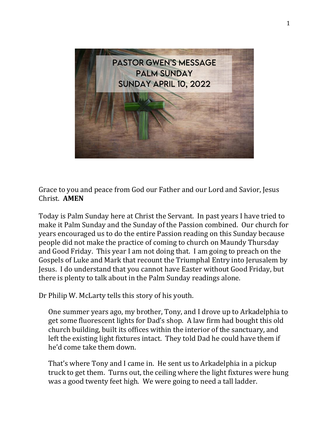

Grace to you and peace from God our Father and our Lord and Savior, Jesus Christ. **AMEN**

Today is Palm Sunday here at Christ the Servant. In past years I have tried to make it Palm Sunday and the Sunday of the Passion combined. Our church for years encouraged us to do the entire Passion reading on this Sunday because people did not make the practice of coming to church on Maundy Thursday and Good Friday. This year I am not doing that. I am going to preach on the Gospels of Luke and Mark that recount the Triumphal Entry into Jerusalem by Jesus. I do understand that you cannot have Easter without Good Friday, but there is plenty to talk about in the Palm Sunday readings alone.

Dr Philip W. McLarty tells this story of his youth.

One summer years ago, my brother, Tony, and I drove up to Arkadelphia to get some fluorescent lights for Dad's shop. A law firm had bought this old church building, built its offices within the interior of the sanctuary, and left the existing light fixtures intact. They told Dad he could have them if he'd come take them down.

That's where Tony and I came in. He sent us to Arkadelphia in a pickup truck to get them. Turns out, the ceiling where the light fixtures were hung was a good twenty feet high. We were going to need a tall ladder.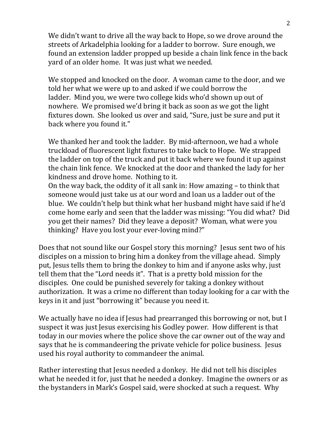We didn't want to drive all the way back to Hope, so we drove around the streets of Arkadelphia looking for a ladder to borrow. Sure enough, we found an extension ladder propped up beside a chain link fence in the back yard of an older home. It was just what we needed.

We stopped and knocked on the door. A woman came to the door, and we told her what we were up to and asked if we could borrow the ladder. Mind you, we were two college kids who'd shown up out of nowhere. We promised we'd bring it back as soon as we got the light fixtures down. She looked us over and said, "Sure, just be sure and put it back where you found it."

We thanked her and took the ladder. By mid-afternoon, we had a whole truckload of fluorescent light fixtures to take back to Hope. We strapped the ladder on top of the truck and put it back where we found it up against the chain link fence. We knocked at the door and thanked the lady for her kindness and drove home. Nothing to it.

On the way back, the oddity of it all sank in: How amazing – to think that someone would just take us at our word and loan us a ladder out of the blue. We couldn't help but think what her husband might have said if he'd come home early and seen that the ladder was missing: "You did what? Did you get their names? Did they leave a deposit? Woman, what were you thinking? Have you lost your ever-loving mind?"

Does that not sound like our Gospel story this morning? Jesus sent two of his disciples on a mission to bring him a donkey from the village ahead. Simply put, Jesus tells them to bring the donkey to him and if anyone asks why, just tell them that the "Lord needs it". That is a pretty bold mission for the disciples. One could be punished severely for taking a donkey without authorization. It was a crime no different than today looking for a car with the keys in it and just "borrowing it" because you need it.

We actually have no idea if Jesus had prearranged this borrowing or not, but I suspect it was just Jesus exercising his Godley power. How different is that today in our movies where the police shove the car owner out of the way and says that he is commandeering the private vehicle for police business. Jesus used his royal authority to commandeer the animal.

Rather interesting that Jesus needed a donkey. He did not tell his disciples what he needed it for, just that he needed a donkey. Imagine the owners or as the bystanders in Mark's Gospel said, were shocked at such a request. Why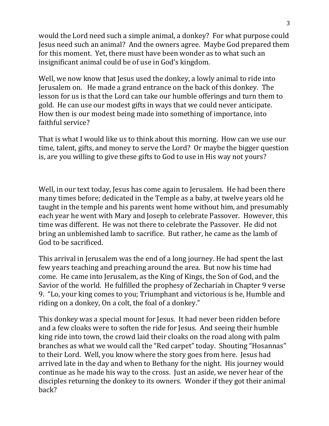would the Lord need such a simple animal, a donkey? For what purpose could Jesus need such an animal? And the owners agree. Maybe God prepared them for this moment. Yet, there must have been wonder as to what such an insignificant animal could be of use in God's kingdom.

Well, we now know that Jesus used the donkey, a lowly animal to ride into Jerusalem on. He made a grand entrance on the back of this donkey. The lesson for us is that the Lord can take our humble offerings and turn them to gold. He can use our modest gifts in ways that we could never anticipate. How then is our modest being made into something of importance, into faithful service?

That is what I would like us to think about this morning. How can we use our time, talent, gifts, and money to serve the Lord? Or maybe the bigger question is, are you willing to give these gifts to God to use in His way not yours?

Well, in our text today, Jesus has come again to Jerusalem. He had been there many times before; dedicated in the Temple as a baby, at twelve years old he taught in the temple and his parents went home without him, and presumably each year he went with Mary and Joseph to celebrate Passover. However, this time was different. He was not there to celebrate the Passover. He did not bring an unblemished lamb to sacrifice. But rather, he came as the lamb of God to be sacrificed.

This arrival in Jerusalem was the end of a long journey. He had spent the last few years teaching and preaching around the area. But now his time had come. He came into Jerusalem, as the King of Kings, the Son of God, and the Savior of the world. He fulfilled the prophesy of Zechariah in Chapter 9 verse 9. "Lo, your king comes to you; Triumphant and victorious is he, Humble and riding on a donkey, On a colt, the foal of a donkey."

This donkey was a special mount for Jesus. It had never been ridden before and a few cloaks were to soften the ride for Jesus. And seeing their humble king ride into town, the crowd laid their cloaks on the road along with palm branches as what we would call the "Red carpet" today. Shouting "Hosannas" to their Lord. Well, you know where the story goes from here. Jesus had arrived late in the day and when to Bethany for the night. His journey would continue as he made his way to the cross. Just an aside, we never hear of the disciples returning the donkey to its owners. Wonder if they got their animal back?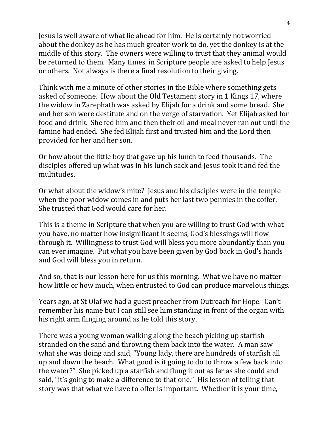Jesus is well aware of what lie ahead for him. He is certainly not worried about the donkey as he has much greater work to do, yet the donkey is at the middle of this story. The owners were willing to trust that they animal would be returned to them. Many times, in Scripture people are asked to help Jesus or others. Not always is there a final resolution to their giving.

Think with me a minute of other stories in the Bible where something gets asked of someone. How about the Old Testament story in 1 Kings 17, where the widow in Zarephath was asked by Elijah for a drink and some bread. She and her son were destitute and on the verge of starvation. Yet Elijah asked for food and drink. She fed him and then their oil and meal never ran out until the famine had ended. She fed Elijah first and trusted him and the Lord then provided for her and her son.

Or how about the little boy that gave up his lunch to feed thousands. The disciples offered up what was in his lunch sack and Jesus took it and fed the multitudes.

Or what about the widow's mite? Jesus and his disciples were in the temple when the poor widow comes in and puts her last two pennies in the coffer. She trusted that God would care for her.

This is a theme in Scripture that when you are willing to trust God with what you have, no matter how insignificant it seems, God's blessings will flow through it. Willingness to trust God will bless you more abundantly than you can ever imagine. Put what you have been given by God back in God's hands and God will bless you in return.

And so, that is our lesson here for us this morning. What we have no matter how little or how much, when entrusted to God can produce marvelous things.

Years ago, at St Olaf we had a guest preacher from Outreach for Hope. Can't remember his name but I can still see him standing in front of the organ with his right arm flinging around as he told this story.

There was a young woman walking along the beach picking up starfish stranded on the sand and throwing them back into the water. A man saw what she was doing and said, "Young lady, there are hundreds of starfish all up and down the beach. What good is it going to do to throw a few back into the water?" She picked up a starfish and flung it out as far as she could and said, "it's going to make a difference to that one." His lesson of telling that story was that what we have to offer is important. Whether it is your time,